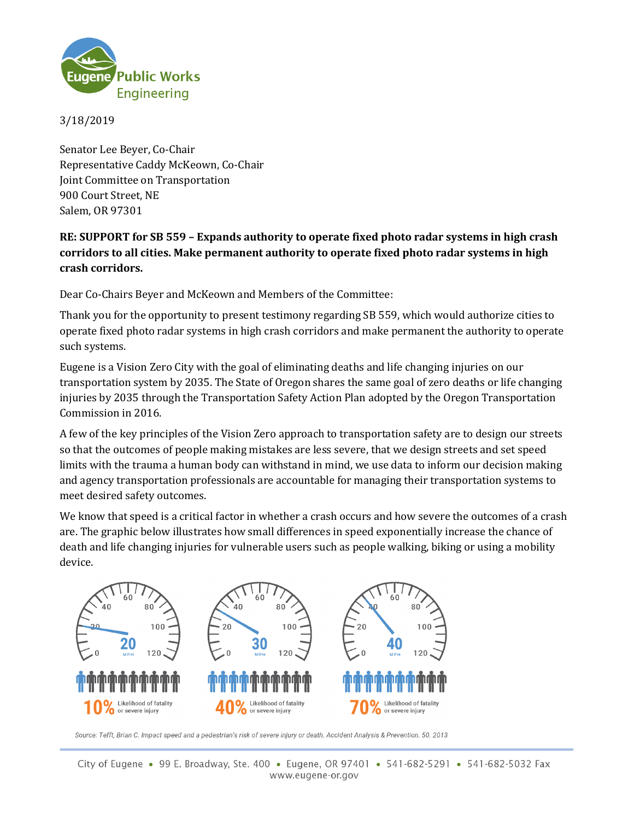

3/18/2019

Senator Lee Beyer, Co-Chair Representative Caddy McKeown, Co-Chair Joint Committee on Transportation 900 Court Street, NE Salem, OR 97301

## **RE: SUPPORT for SB 559 – Expands authority to operate fixed photo radar systems in high crash corridors to all cities. Make permanent authority to operate fixed photo radar systems in high crash corridors.**

Dear Co-Chairs Beyer and McKeown and Members of the Committee:

Thank you for the opportunity to present testimony regarding SB 559, which would authorize cities to operate fixed photo radar systems in high crash corridors and make permanent the authority to operate such systems.

Eugene is a Vision Zero City with the goal of eliminating deaths and life changing injuries on our transportation system by 2035. The State of Oregon shares the same goal of zero deaths or life changing injuries by 2035 through the Transportation Safety Action Plan adopted by the Oregon Transportation Commission in 2016.

A few of the key principles of the Vision Zero approach to transportation safety are to design our streets so that the outcomes of people making mistakes are less severe, that we design streets and set speed limits with the trauma a human body can withstand in mind, we use data to inform our decision making and agency transportation professionals are accountable for managing their transportation systems to meet desired safety outcomes.

We know that speed is a critical factor in whether a crash occurs and how severe the outcomes of a crash are. The graphic below illustrates how small differences in speed exponentially increase the chance of death and life changing injuries for vulnerable users such as people walking, biking or using a mobility device.



Source: Tefft, Brian C. Impact speed and a pedestrian's risk of severe injury or death. Accident Analysis & Prevention. 50. 2013